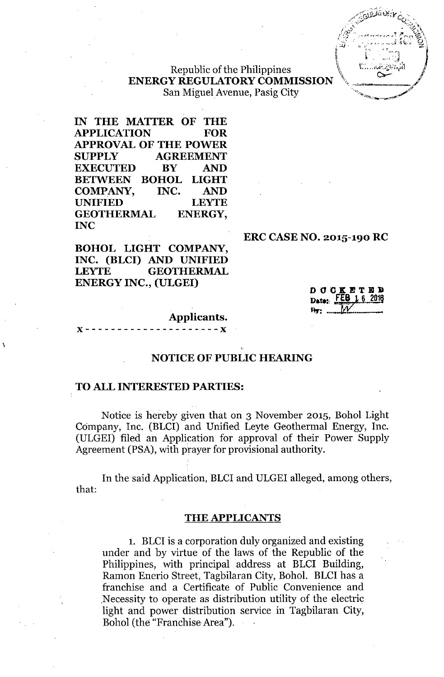

## Republic of the Philippines **ENERGY REGULATORY COMMISSION** San Miguel Avenue, Pasig City

**IN THE MATTER OF THE APPLICATION FOR APPROVAL OF THE POWER SUPPLY AGREEMENT EXECUTED BY AND BETWEEN BOHOL LIGHT COMPANY, INC. AND** UNIFIED LEYTE **GEOTHERMAL ENERGY, INC**

**BOHOL LIGHT COMPANY, INC. (BLCI) AND UNIFIED** LEYTE **GEOTHERMAL ENERGY INC., (ULGEI)**

#### **ERC CASE NO. 2015-190 RC**

**DOCKETED** Date: FEB 162016

#### **Applicants.**

 ${\bf x}$  - - - - - - - - - - - - - - - - - -  ${\bf x}$ 

\

## **NOTICE OF PUBLIC HEARING**

#### **TO ALL INTERESTED PARTIES:**

Notice is hereby given that on 3 November 2015, Bohol Light Company, Inc. (BLCI) and Unified Leyte Geothermal Energy, Inc. (ULGEI) filed an Application for approval of their Power Supply Agreement (PSA), with prayer for provisional authority.

In the said Application, BLCI and ULGEI alleged, among others, that:

#### **THE APPLICANTS**

1. BLCI is a corporation duly organized and existing under and by virtue of the laws of the Republic of the Philippines, with principal address at BLCI Building, Ramon Enerio Street, Tagbilaran City, Bohol. BLCI has a franchise and a Certificate of Public Convenience and Necessity to operate as distribution utility of the electric light and power distribution service in Tagbilaran City, Bohol (the "Franchise Area").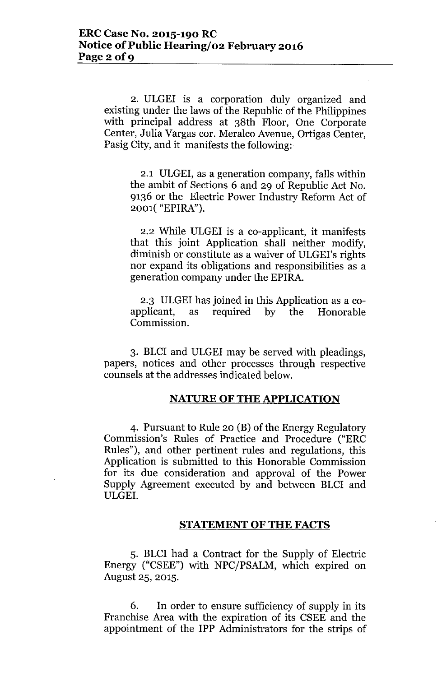2. ULGEI is a corporation duly organized and existing under the laws of the Republic of the Philippines with principal address at 38th Floor, One Corporate Center, Julia Vargas cor. Meralco Avenue, Ortigas Center, Pasig City, and it manifests the following:

2.1 ULGEI, as a generation company, falls within the ambit of Sections 6 and 29 of Republic Act No. 9136 or the Electric Power Industry Reform Act of 2001( "EPIRA").

2.2 While ULGEI is a co-applicant, it manifests that this joint Application shall neither modify, diminish or constitute as a waiver of ULGEI's rights nor expand its obligations and responsibilities as a generation company under the EPIRA.

2.3 ULGEI has joined in this Application as a coapplicant, as required by the Honorable Commission.

3. BLCI and ULGEI may be served with pleadings, papers, notices and other processes through respective counsels at the addresses indicated below.

## **NATURE OF THE APPLICATION**

4. Pursuant to Rule 20 (B) of the Energy Regulatory Commission's Rules of Practice and Procedure ("ERC Rules"), and other pertinent rules and regulations, this Application is submitted to this Honorable Commission for its due consideration and approval of the Power Supply Agreement executed by and between BLCI and ULGEI.

#### **STATEMENT OF THE FACTS**

5. BLCI had a Contract for the Supply of Electric Energy ("CSEE") with NPC/PSALM, which expired on August 25, 2015.

6. In order to ensure sufficiency of supply in its Franchise Area with the expiration of its CSEE and the appointment of the IPP Administrators for the strips of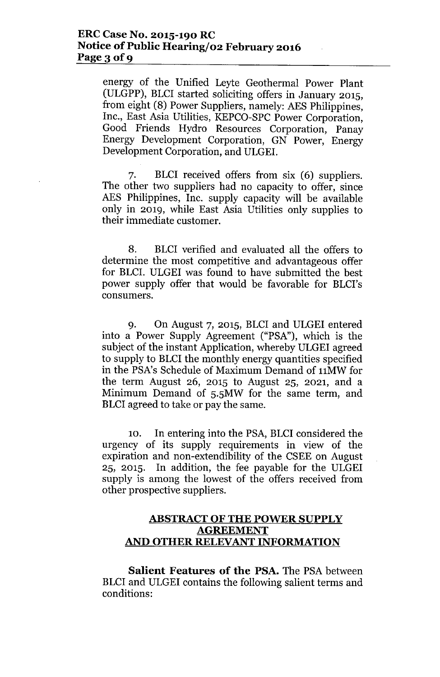energy of the Unified Leyte Geothermal Power Plant (ULGPP), BLCI started soliciting offers in January 2015, from eight (8) Power Suppliers, namely: AES Philippines, Inc., East Asia Utilities, KEPCO-SPC Power Corporation, Good Friends Hydro Resources Corporation, Panay Energy Development Corporation, GN Power, Energy Development Corporation, and ULGEI.

7. BLCI received offers from six (6) suppliers. The other two suppliers had no capacity to offer, since AES Philippines, Inc. supply capacity will be available only in 2019, while East Asia Utilities only supplies to their immediate customer.

8. BLCI verified and evaluated all the offers to determine the most competitive and advantageous offer for BLCI. ULGEI was found to have submitted the best power supply offer that would be favorable for BLCI's consumers.

9. On August 7, 2015, BLCI and ULGEI entered into a Power Supply Agreement ("PSA"), which is the subject of the instant Application, whereby ULGEI agreed to supply to BLCI the monthly energy quantities specified in the PSA's Schedule of Maximum Demand of 11MW for the term August 26, 2015 to August 25, 2021, and a Minimum Demand of 5.5MW for the same term, and BLCI agreed to take or pay the same.

10. In entering into the PSA, BLCI considered the urgency of its supply requirements in view of the expiration and non-extendibility of the CSEE on August 25, 2015. In addition, the fee payable for the ULGEI supply is among the lowest of the offers received from other prospective suppliers.

# **ABSTRACT OF THE POWER SUPPLY AGREEMENT AND OTHER RELEVANT INFORMATION**

**Salient Features of the PSA.** The PSA between BLCI and ULGEI contains the following salient terms and conditions: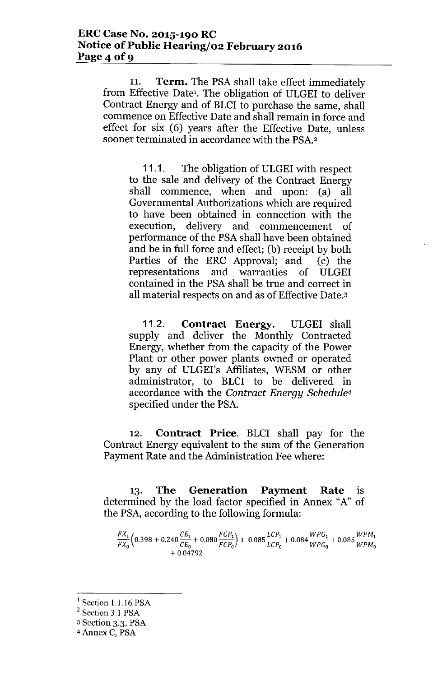11. **Term.** The PSA shall take effect immediately from Effective Date'. The obligation of ULGEI to deliver Contract Energy and of BLCI to purchase the same, shall commence on Effective Date and shall remain in force and effect for six (6) years after the Effective Date, unless sooner terminated in accordance with the PSA.2

11.1. The obligation of ULGEI with respect to the sale and delivery of the Contract Energy shall commence, when and upon: (a) all Governmental Authorizations which are required to have been obtained in connection with the execution, delivery and commencement of performance of the PSA shall have been obtained and be in full force and effect; (b) receipt by both Parties of the ERC Approval; and (c) the representations and warranties of ULGEI contained in the PSA shall be true and correct in all material respects on and as of Effective Date.3

11.2. **Contract Energy.** ULGEI shall supply and deliver the Monthly Contracted Energy, whether from the capacity of the Power Plant or other power plants owned or operated by any of ULGEI's Affiliates, WESM or other administrator, to BLCI to be delivered in accordance with the *Contract Energy Sehedule<sup>4</sup>* specified under the PSA.

12. **Contract Price.** BLCI shall pay for the Contract Energy equivalent to the sum of the Generation Payment Rate and the Administration Fee where:

13. **The Generation Payment Rate** is determined by the load factor specified in Annex "A" of the PSA, according to the following formula:

 $\frac{FX_1}{FX_2}$  $\left(0.398 + 0.240 \frac{CE_1}{CE_2} + 0.080 \frac{FCP_1}{FCP_2}\right)$  + 0.085  $\frac{LCP_1}{LCP_2}$  + 0.084  $\frac{WPG_1}{WPG_2}$  + 0.085  $\frac{WPM_2}{WPM}$  $+0.04792$ 

Section 1.1.16 PSA

<sup>&</sup>lt;sup>2</sup> Section 3.1 PSA

<sup>3</sup> Section 3.3, PSA

<sup>4</sup> Annex C, PSA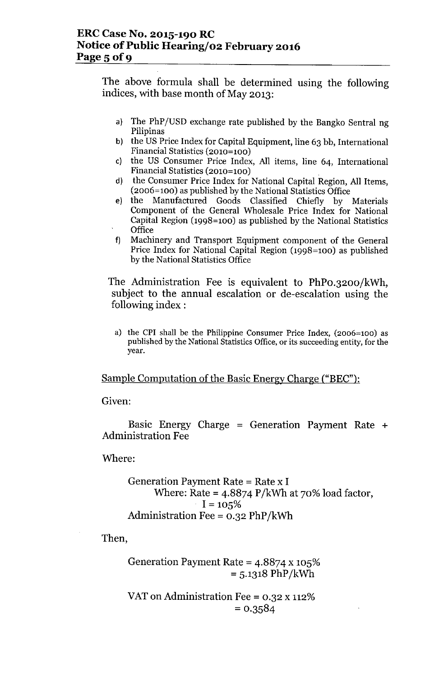The above formula shall be determined using the following indices, with base month of May 2013:

- a) The PhP/USD exchange rate published by the Bangko Sentral ng Pilipinas
- b) the US Price Index for Capital Equipment, line 63 bb, International Financial Statistics (2010=100)
- c) the US Consumer Price Index, All items, line 64, International Financial Statistics (2010=100)
- d) the Consumer Price Index for National Capital Region, All Items, (2006=100) as published by the National Statistics Office
- e) the Manufactured Goods Classified Chiefly by Materials Component of the General Wholesale Price Index for National Capital Region (1998=100) as published by the National Statistics **Office**
- f) Machinery and Transport Equipment component of the General Price Index for National Capital Region (1998=100) as published by the National Statistics Office

The Administration Fee is equivalent to PhPO.3200/kWh, subject to the annual escalation or de-escalation using the following index :

a) the CPI shall be the Philippine Consumer Price Index, (2006=100) as published by the National Statistics Office, or its succeeding entity, for the year.

Sample Computation of the Basic Energy Charge ("BEC"):

Given:

Basic Energy Charge = Generation Payment Rate  $+$ Administration Fee

Where:

```
Generation Payment Rate = Rate x IWhere: Rate = 4.8874 P/kWh at 70% load factor,
   I = 105%Administration Fee = 0.32 PhP/kWh
```
Then,

Generation Payment Rate = 4.8874 x 105%  $= 5.1318 \text{ PhP/kWh}$ 

VAT on Administration Fee = 0.32 x 112%  $= 0.3584$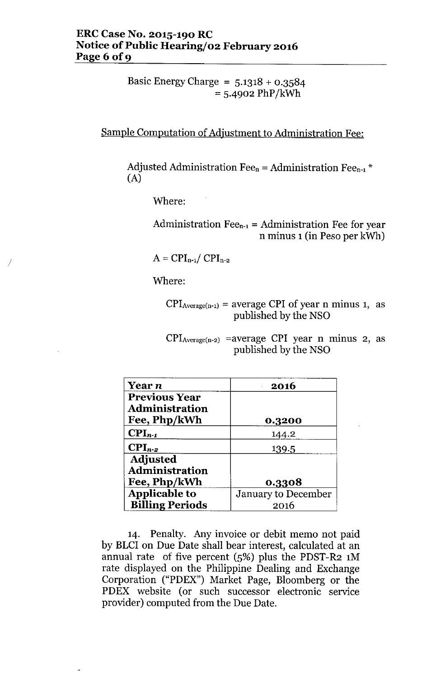Basic Energy Charge =  $5.1318 + 0.3584$  $= 5.4902 \text{ PhP/kWh}$ 

Sample Computation of Adjustment to Administration Fee:

Adjusted Administration Fee<sub>n</sub> = Administration Fee<sub>n-1</sub>  $*$ (A)

Where:

Administration Fee<sub>n-1</sub> = Administration Fee for year n minus 1 (in Peso per kWh)

 $A = CPI_{n-1}/ CPI_{n-2}$ 

Where:

/

 $CPI_{Average(n-1)} = average CPI of year n minus 1, as$ published by the NSO

 $CPI_{Average(n-2)}$  =average CPI year n minus 2, as published by the NSO

| <b>Year</b> n          | 2016                       |  |
|------------------------|----------------------------|--|
| <b>Previous Year</b>   |                            |  |
| <b>Administration</b>  |                            |  |
| Fee, Php/kWh           | 0.3200                     |  |
| $CPI_{n-1}$            | 144.2                      |  |
| $\text{CPI}_{n-2}$     | 139.5                      |  |
| <b>Adjusted</b>        |                            |  |
| <b>Administration</b>  |                            |  |
| Fee, Php/kWh           | 0.3308                     |  |
| <b>Applicable to</b>   | <b>January to December</b> |  |
| <b>Billing Periods</b> | 2016                       |  |

14. Penalty. Any invoice or debit memo not paid by BLCI on Due Date shall bear interest, calculated at an annual rate of five percent  $(5%)$  plus the PDST-R2 1M rate displayed on the Philippine Dealing and Exchange Corporation ("PDEX") Market Page, Bloomberg or the PDEX website (or such successor electronic service provider) computed from the Due Date.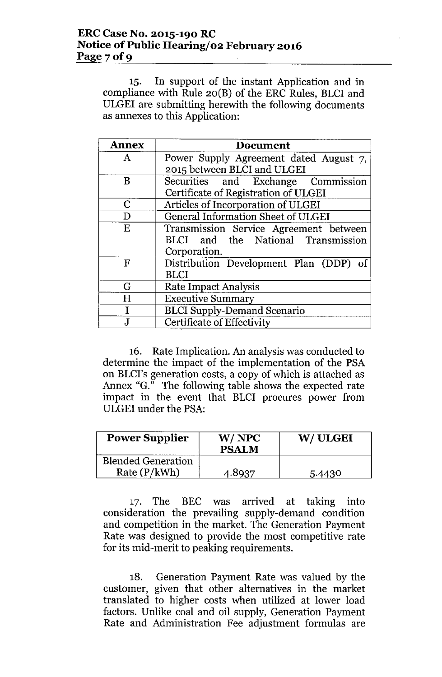15. In support of the instant Application and in compliance with Rule 20(B) of the ERC Rules, BLCI and ULGEI are submitting herewith the following documents as annexes to this Application:

| <b>Annex</b> | <b>Document</b>                        |  |  |
|--------------|----------------------------------------|--|--|
| A            | Power Supply Agreement dated August 7, |  |  |
|              | 2015 between BLCI and ULGEI            |  |  |
| B            | Securities and Exchange Commission     |  |  |
|              | Certificate of Registration of ULGEI   |  |  |
| C            | Articles of Incorporation of ULGEI     |  |  |
| D            | General Information Sheet of ULGEI     |  |  |
| E            | Transmission Service Agreement between |  |  |
|              | BLCI and the National Transmission     |  |  |
|              | Corporation.                           |  |  |
| $_{\rm F}$   | Distribution Development Plan (DDP) of |  |  |
|              | <b>BLCI</b>                            |  |  |
| G            | <b>Rate Impact Analysis</b>            |  |  |
| H            | <b>Executive Summary</b>               |  |  |
|              | <b>BLCI Supply-Demand Scenario</b>     |  |  |
|              | Certificate of Effectivity             |  |  |

16. Rate Implication. An analysis was conducted to determine the impact of the implementation of the PSA on BLCI's generation costs, a copy of which is attached as Annex "G." The following table shows the expected rate impact in the event that BLCI procures power from ULGEI under the PSA:

| <b>Power Supplier</b>                     | W/NPC<br><b>PSALM</b> | W/ULGEI |
|-------------------------------------------|-----------------------|---------|
| <b>Blended Generation</b><br>Rate (P/kWh) | 4.8937                | 5.4430  |

17. The BEC was arrived at taking into consideration the prevailing supply-demand condition and competition in the market. The Generation Payment Rate was designed to provide the most competitive rate for its mid-merit to peaking requirements.

18. Generation Payment Rate was valued by the customer, given that other alternatives in the market translated to higher costs when utilized at lower load factors. Unlike coal and oil supply, Generation Payment Rate and Administration Fee adjustment formulas are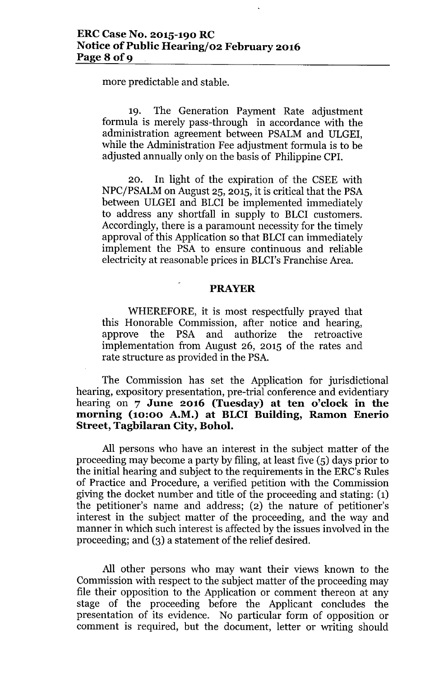more predictable and stable.

19. The Generation Payment Rate adjustment formula is merely pass-through in accordance with the administration agreement between PSALM and ULGEI, while the Administration Fee adjustment formula is to be adjusted annually only on the basis of Philippine CPI.

20. In light of the expiration of the CSEE with NPC/PSALM on August 25, 2015, it is critical that the PSA between ULGEI and BLCI be implemented immediately to address any shortfall in supply to BLCI customers. Accordingly, there is a paramount necessity for the timely approval of this Application so that BLCI can immediately implement the PSA to ensure continuous and reliable electricity at reasonable prices in BLCI's Franchise Area.

## **PRAYER**

WHEREFORE, it is most respectfully prayed that this Honorable Commission, after notice and hearing, approve the PSA and authorize the retroactive implementation from August 26, 2015 of the rates and rate structure as provided in the PSA.

The Commission has set the Application for jurisdictional hearing, expository presentation, pre-trial conference and evidentiary hearing on 7 **June 2016 (Tuesday) at ten o'clock in the morning (10:00 A.M.) at BLCI Building, Ramon Enerio Street, Tagbilaran City, Bohol.** 

All persons who have an interest in the subject matter of the proceeding may become a party by filing, at least five (5) days prior to the initial hearing and subject to the requirements in the ERC's Rules of Practice and Procedure, a verified petition with the Commission giving the docket number and title of the proceeding and stating: (1) the petitioner's name and address; (2) the nature of petitioner's interest in the subject matter of the proceeding, and the way and manner in which such interest is affected by the issues involved in the proceeding; and (3) a statement of the relief desired.

All other persons who may want their views known to the Commission with respect to the subject matter of the proceeding may file their opposition to the Application or comment thereon at any stage of the proceeding before the Applicant concludes the presentation of its evidence. No particular form of opposition or comment is required, but the document, letter or writing should